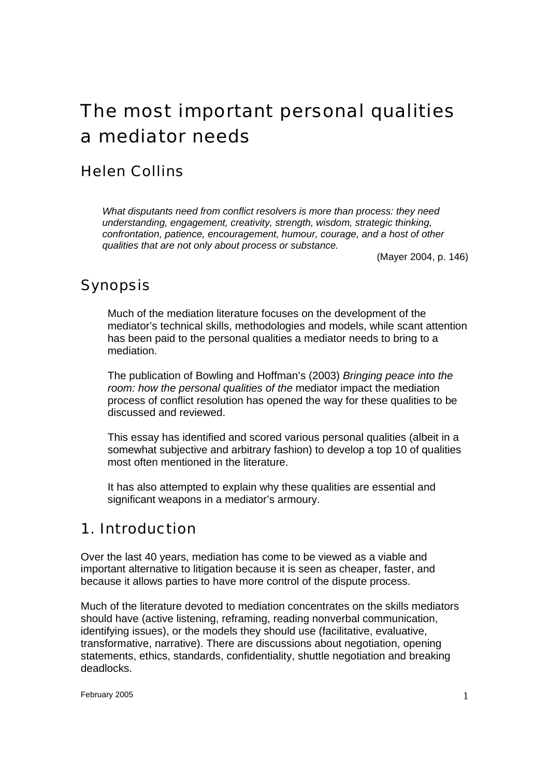# The most important personal qualities a mediator needs

# Helen Collins

*What disputants need from conflict resolvers is more than process: they need understanding, engagement, creativity, strength, wisdom, strategic thinking, confrontation, patience, encouragement, humour, courage, and a host of other qualities that are not only about process or substance.* 

(Mayer 2004, p. 146)

# Synopsis

Much of the mediation literature focuses on the development of the mediator's technical skills, methodologies and models, while scant attention has been paid to the personal qualities a mediator needs to bring to a mediation.

The publication of Bowling and Hoffman's (2003) *Bringing peace into the room: how the personal qualities of the* mediator impact the mediation process of conflict resolution has opened the way for these qualities to be discussed and reviewed.

This essay has identified and scored various personal qualities (albeit in a somewhat subjective and arbitrary fashion) to develop a top 10 of qualities most often mentioned in the literature.

It has also attempted to explain why these qualities are essential and significant weapons in a mediator's armoury.

# 1. Introduction

Over the last 40 years, mediation has come to be viewed as a viable and important alternative to litigation because it is seen as cheaper, faster, and because it allows parties to have more control of the dispute process.

Much of the literature devoted to mediation concentrates on the skills mediators should have (active listening, reframing, reading nonverbal communication, identifying issues), or the models they should use (facilitative, evaluative, transformative, narrative). There are discussions about negotiation, opening statements, ethics, standards, confidentiality, shuttle negotiation and breaking deadlocks.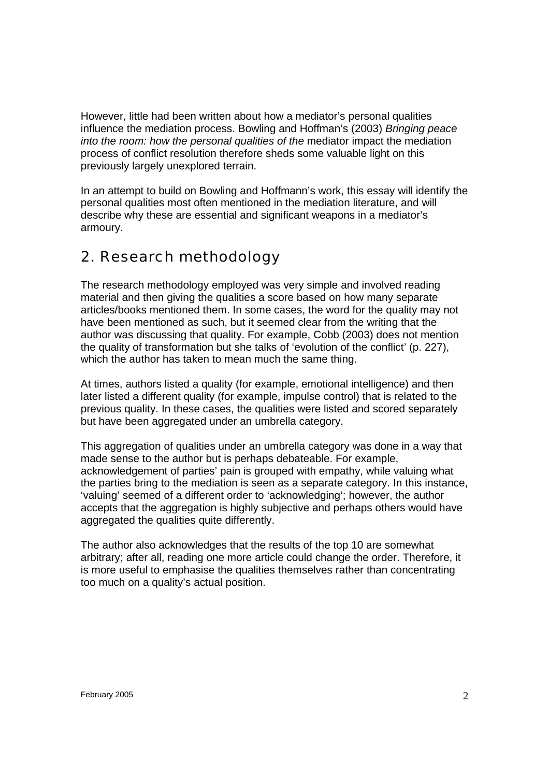However, little had been written about how a mediator's personal qualities influence the mediation process. Bowling and Hoffman's (2003) *Bringing peace into the room: how the personal qualities of the mediator impact the mediation* process of conflict resolution therefore sheds some valuable light on this previously largely unexplored terrain.

In an attempt to build on Bowling and Hoffmann's work, this essay will identify the personal qualities most often mentioned in the mediation literature, and will describe why these are essential and significant weapons in a mediator's armoury.

# 2. Research methodology

The research methodology employed was very simple and involved reading material and then giving the qualities a score based on how many separate articles/books mentioned them. In some cases, the word for the quality may not have been mentioned as such, but it seemed clear from the writing that the author was discussing that quality. For example, Cobb (2003) does not mention the quality of transformation but she talks of 'evolution of the conflict' (p. 227), which the author has taken to mean much the same thing.

At times, authors listed a quality (for example, emotional intelligence) and then later listed a different quality (for example, impulse control) that is related to the previous quality. In these cases, the qualities were listed and scored separately but have been aggregated under an umbrella category.

This aggregation of qualities under an umbrella category was done in a way that made sense to the author but is perhaps debateable. For example, acknowledgement of parties' pain is grouped with empathy, while valuing what the parties bring to the mediation is seen as a separate category. In this instance, 'valuing' seemed of a different order to 'acknowledging'; however, the author accepts that the aggregation is highly subjective and perhaps others would have aggregated the qualities quite differently.

The author also acknowledges that the results of the top 10 are somewhat arbitrary; after all, reading one more article could change the order. Therefore, it is more useful to emphasise the qualities themselves rather than concentrating too much on a quality's actual position.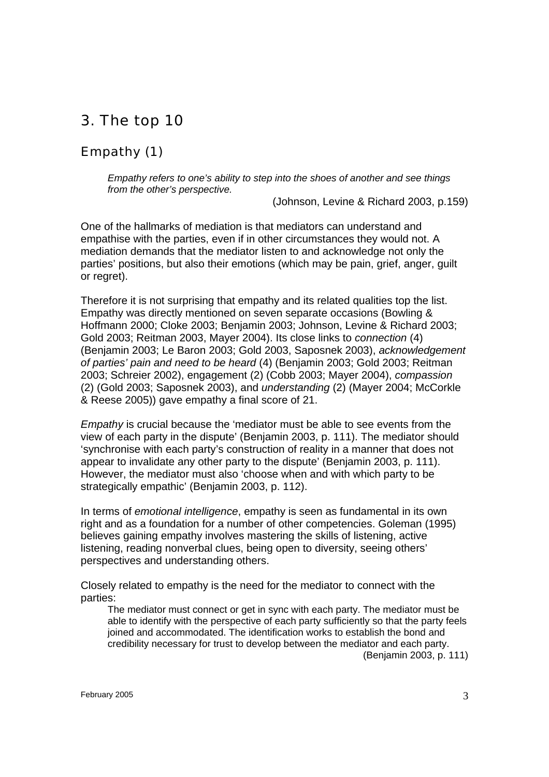# 3. The top 10

### Empathy (1)

*Empathy refers to one's ability to step into the shoes of another and see things from the other's perspective.* 

(Johnson, Levine & Richard 2003, p.159)

One of the hallmarks of mediation is that mediators can understand and empathise with the parties, even if in other circumstances they would not. A mediation demands that the mediator listen to and acknowledge not only the parties' positions, but also their emotions (which may be pain, grief, anger, guilt or regret).

Therefore it is not surprising that empathy and its related qualities top the list. Empathy was directly mentioned on seven separate occasions (Bowling & Hoffmann 2000; Cloke 2003; Benjamin 2003; Johnson, Levine & Richard 2003; Gold 2003; Reitman 2003, Mayer 2004). Its close links to *connection* (4) (Benjamin 2003; Le Baron 2003; Gold 2003, Saposnek 2003), *acknowledgement of parties' pain and need to be heard* (4) (Benjamin 2003; Gold 2003; Reitman 2003; Schreier 2002), engagement (2) (Cobb 2003; Mayer 2004), *compassion* (2) (Gold 2003; Saposnek 2003), and *understanding* (2) (Mayer 2004; McCorkle & Reese 2005)) gave empathy a final score of 21.

*Empathy* is crucial because the 'mediator must be able to see events from the view of each party in the dispute' (Benjamin 2003, p. 111). The mediator should 'synchronise with each party's construction of reality in a manner that does not appear to invalidate any other party to the dispute' (Benjamin 2003, p. 111). However, the mediator must also 'choose when and with which party to be strategically empathic' (Benjamin 2003, p. 112).

In terms of *emotional intelligence*, empathy is seen as fundamental in its own right and as a foundation for a number of other competencies. Goleman (1995) believes gaining empathy involves mastering the skills of listening, active listening, reading nonverbal clues, being open to diversity, seeing others' perspectives and understanding others.

Closely related to empathy is the need for the mediator to connect with the parties:

The mediator must connect or get in sync with each party. The mediator must be able to identify with the perspective of each party sufficiently so that the party feels joined and accommodated. The identification works to establish the bond and credibility necessary for trust to develop between the mediator and each party.

(Benjamin 2003, p. 111)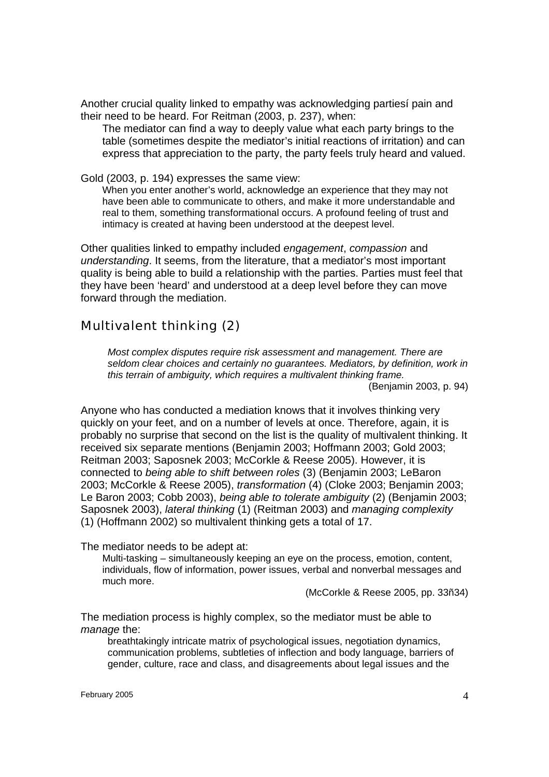Another crucial quality linked to empathy was acknowledging partiesí pain and their need to be heard. For Reitman (2003, p. 237), when:

The mediator can find a way to deeply value what each party brings to the table (sometimes despite the mediator's initial reactions of irritation) and can express that appreciation to the party, the party feels truly heard and valued.

Gold (2003, p. 194) expresses the same view:

When you enter another's world, acknowledge an experience that they may not have been able to communicate to others, and make it more understandable and real to them, something transformational occurs. A profound feeling of trust and intimacy is created at having been understood at the deepest level.

Other qualities linked to empathy included *engagement*, *compassion* and *understanding*. It seems, from the literature, that a mediator's most important quality is being able to build a relationship with the parties. Parties must feel that they have been 'heard' and understood at a deep level before they can move forward through the mediation.

### Multivalent thinking (2)

*Most complex disputes require risk assessment and management. There are seldom clear choices and certainly no guarantees. Mediators, by definition, work in this terrain of ambiguity, which requires a multivalent thinking frame.*  (Benjamin 2003, p. 94)

Anyone who has conducted a mediation knows that it involves thinking very quickly on your feet, and on a number of levels at once. Therefore, again, it is probably no surprise that second on the list is the quality of multivalent thinking. It received six separate mentions (Benjamin 2003; Hoffmann 2003; Gold 2003; Reitman 2003; Saposnek 2003; McCorkle & Reese 2005). However, it is connected to *being able to shift between roles* (3) (Benjamin 2003; LeBaron 2003; McCorkle & Reese 2005), *transformation* (4) (Cloke 2003; Benjamin 2003; Le Baron 2003; Cobb 2003), *being able to tolerate ambiguity* (2) (Benjamin 2003; Saposnek 2003), *lateral thinking* (1) (Reitman 2003) and *managing complexity* (1) (Hoffmann 2002) so multivalent thinking gets a total of 17.

The mediator needs to be adept at:

Multi-tasking – simultaneously keeping an eye on the process, emotion, content, individuals, flow of information, power issues, verbal and nonverbal messages and much more.

(McCorkle & Reese 2005, pp. 33ñ34)

The mediation process is highly complex, so the mediator must be able to *manage* the:

breathtakingly intricate matrix of psychological issues, negotiation dynamics, communication problems, subtleties of inflection and body language, barriers of gender, culture, race and class, and disagreements about legal issues and the

February 2005  $\sim$  4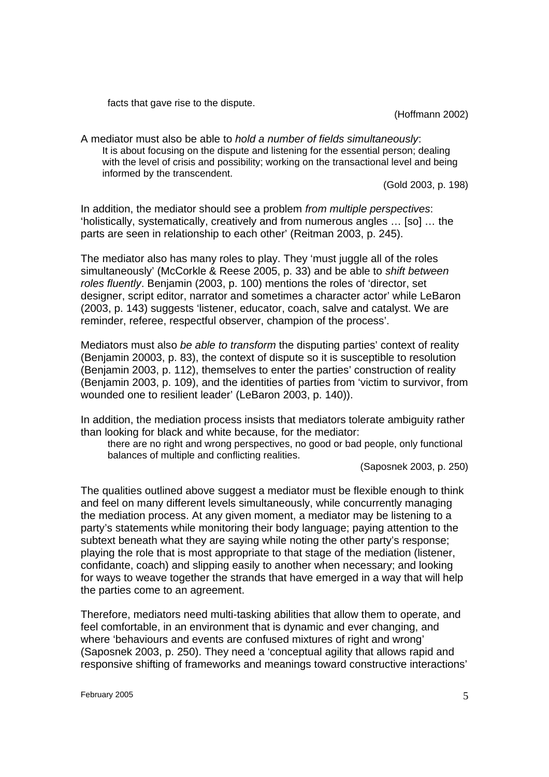facts that gave rise to the dispute.

(Hoffmann 2002)

A mediator must also be able to *hold a number of fields simultaneously*: It is about focusing on the dispute and listening for the essential person; dealing with the level of crisis and possibility; working on the transactional level and being informed by the transcendent.

(Gold 2003, p. 198)

In addition, the mediator should see a problem *from multiple perspectives*: 'holistically, systematically, creatively and from numerous angles … [so] … the parts are seen in relationship to each other' (Reitman 2003, p. 245).

The mediator also has many roles to play. They 'must juggle all of the roles simultaneously' (McCorkle & Reese 2005, p. 33) and be able to *shift between roles fluently*. Benjamin (2003, p. 100) mentions the roles of 'director, set designer, script editor, narrator and sometimes a character actor' while LeBaron (2003, p. 143) suggests 'listener, educator, coach, salve and catalyst. We are reminder, referee, respectful observer, champion of the process'.

Mediators must also *be able to transform* the disputing parties' context of reality (Benjamin 20003, p. 83), the context of dispute so it is susceptible to resolution (Benjamin 2003, p. 112), themselves to enter the parties' construction of reality (Benjamin 2003, p. 109), and the identities of parties from 'victim to survivor, from wounded one to resilient leader' (LeBaron 2003, p. 140)).

In addition, the mediation process insists that mediators tolerate ambiguity rather than looking for black and white because, for the mediator:

there are no right and wrong perspectives, no good or bad people, only functional balances of multiple and conflicting realities.

(Saposnek 2003, p. 250)

The qualities outlined above suggest a mediator must be flexible enough to think and feel on many different levels simultaneously, while concurrently managing the mediation process. At any given moment, a mediator may be listening to a party's statements while monitoring their body language; paying attention to the subtext beneath what they are saying while noting the other party's response; playing the role that is most appropriate to that stage of the mediation (listener, confidante, coach) and slipping easily to another when necessary; and looking for ways to weave together the strands that have emerged in a way that will help the parties come to an agreement.

Therefore, mediators need multi-tasking abilities that allow them to operate, and feel comfortable, in an environment that is dynamic and ever changing, and where 'behaviours and events are confused mixtures of right and wrong' (Saposnek 2003, p. 250). They need a 'conceptual agility that allows rapid and responsive shifting of frameworks and meanings toward constructive interactions'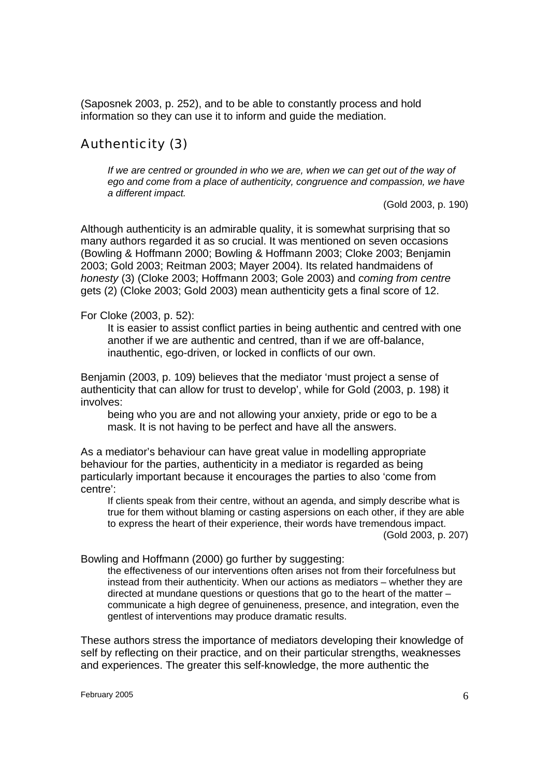(Saposnek 2003, p. 252), and to be able to constantly process and hold information so they can use it to inform and guide the mediation.

### Authenticity (3)

If we are centred or grounded in who we are, when we can get out of the way of *ego and come from a place of authenticity, congruence and compassion, we have a different impact.* 

(Gold 2003, p. 190)

Although authenticity is an admirable quality, it is somewhat surprising that so many authors regarded it as so crucial. It was mentioned on seven occasions (Bowling & Hoffmann 2000; Bowling & Hoffmann 2003; Cloke 2003; Benjamin 2003; Gold 2003; Reitman 2003; Mayer 2004). Its related handmaidens of *honesty* (3) (Cloke 2003; Hoffmann 2003; Gole 2003) and *coming from centre* gets (2) (Cloke 2003; Gold 2003) mean authenticity gets a final score of 12.

For Cloke (2003, p. 52):

It is easier to assist conflict parties in being authentic and centred with one another if we are authentic and centred, than if we are off-balance, inauthentic, ego-driven, or locked in conflicts of our own.

Benjamin (2003, p. 109) believes that the mediator 'must project a sense of authenticity that can allow for trust to develop', while for Gold (2003, p. 198) it involves:

being who you are and not allowing your anxiety, pride or ego to be a mask. It is not having to be perfect and have all the answers.

As a mediator's behaviour can have great value in modelling appropriate behaviour for the parties, authenticity in a mediator is regarded as being particularly important because it encourages the parties to also 'come from centre':

If clients speak from their centre, without an agenda, and simply describe what is true for them without blaming or casting aspersions on each other, if they are able to express the heart of their experience, their words have tremendous impact. (Gold 2003, p. 207)

Bowling and Hoffmann (2000) go further by suggesting:

the effectiveness of our interventions often arises not from their forcefulness but instead from their authenticity. When our actions as mediators – whether they are directed at mundane questions or questions that go to the heart of the matter – communicate a high degree of genuineness, presence, and integration, even the gentlest of interventions may produce dramatic results.

These authors stress the importance of mediators developing their knowledge of self by reflecting on their practice, and on their particular strengths, weaknesses and experiences. The greater this self-knowledge, the more authentic the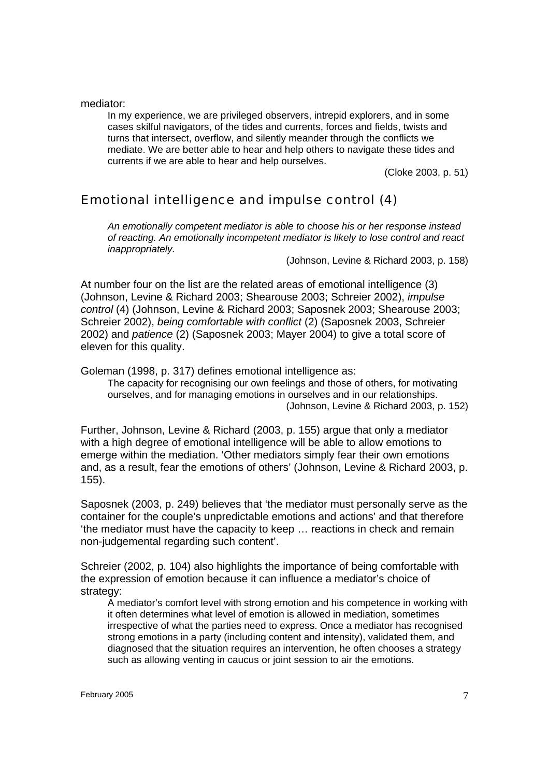mediator:

In my experience, we are privileged observers, intrepid explorers, and in some cases skilful navigators, of the tides and currents, forces and fields, twists and turns that intersect, overflow, and silently meander through the conflicts we mediate. We are better able to hear and help others to navigate these tides and currents if we are able to hear and help ourselves.

(Cloke 2003, p. 51)

### Emotional intelligence and impulse control (4)

*An emotionally competent mediator is able to choose his or her response instead of reacting. An emotionally incompetent mediator is likely to lose control and react inappropriately.* 

(Johnson, Levine & Richard 2003, p. 158)

At number four on the list are the related areas of emotional intelligence (3) (Johnson, Levine & Richard 2003; Shearouse 2003; Schreier 2002), *impulse control* (4) (Johnson, Levine & Richard 2003; Saposnek 2003; Shearouse 2003; Schreier 2002), *being comfortable with conflict* (2) (Saposnek 2003, Schreier 2002) and *patience* (2) (Saposnek 2003; Mayer 2004) to give a total score of eleven for this quality.

Goleman (1998, p. 317) defines emotional intelligence as:

The capacity for recognising our own feelings and those of others, for motivating ourselves, and for managing emotions in ourselves and in our relationships. (Johnson, Levine & Richard 2003, p. 152)

Further, Johnson, Levine & Richard (2003, p. 155) argue that only a mediator with a high degree of emotional intelligence will be able to allow emotions to emerge within the mediation. 'Other mediators simply fear their own emotions and, as a result, fear the emotions of others' (Johnson, Levine & Richard 2003, p. 155).

Saposnek (2003, p. 249) believes that 'the mediator must personally serve as the container for the couple's unpredictable emotions and actions' and that therefore 'the mediator must have the capacity to keep … reactions in check and remain non-judgemental regarding such content'.

Schreier (2002, p. 104) also highlights the importance of being comfortable with the expression of emotion because it can influence a mediator's choice of strategy:

A mediator's comfort level with strong emotion and his competence in working with it often determines what level of emotion is allowed in mediation, sometimes irrespective of what the parties need to express. Once a mediator has recognised strong emotions in a party (including content and intensity), validated them, and diagnosed that the situation requires an intervention, he often chooses a strategy such as allowing venting in caucus or joint session to air the emotions.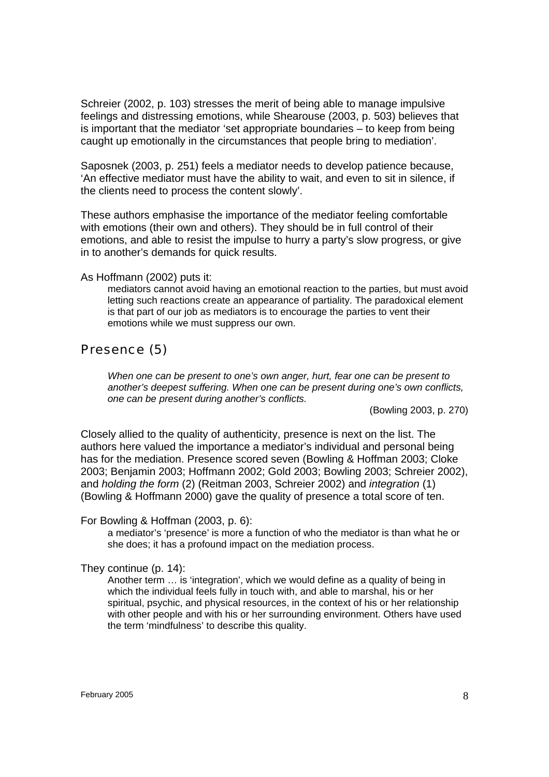Schreier (2002, p. 103) stresses the merit of being able to manage impulsive feelings and distressing emotions, while Shearouse (2003, p. 503) believes that is important that the mediator 'set appropriate boundaries – to keep from being caught up emotionally in the circumstances that people bring to mediation'.

Saposnek (2003, p. 251) feels a mediator needs to develop patience because, 'An effective mediator must have the ability to wait, and even to sit in silence, if the clients need to process the content slowly'.

These authors emphasise the importance of the mediator feeling comfortable with emotions (their own and others). They should be in full control of their emotions, and able to resist the impulse to hurry a party's slow progress, or give in to another's demands for quick results.

#### As Hoffmann (2002) puts it:

mediators cannot avoid having an emotional reaction to the parties, but must avoid letting such reactions create an appearance of partiality. The paradoxical element is that part of our job as mediators is to encourage the parties to vent their emotions while we must suppress our own.

### Presence (5)

*When one can be present to one's own anger, hurt, fear one can be present to another's deepest suffering. When one can be present during one's own conflicts, one can be present during another's conflicts.* 

(Bowling 2003, p. 270)

Closely allied to the quality of authenticity, presence is next on the list. The authors here valued the importance a mediator's individual and personal being has for the mediation. Presence scored seven (Bowling & Hoffman 2003; Cloke 2003; Benjamin 2003; Hoffmann 2002; Gold 2003; Bowling 2003; Schreier 2002), and *holding the form* (2) (Reitman 2003, Schreier 2002) and *integration* (1) (Bowling & Hoffmann 2000) gave the quality of presence a total score of ten.

For Bowling & Hoffman (2003, p. 6):

a mediator's 'presence' is more a function of who the mediator is than what he or she does; it has a profound impact on the mediation process.

They continue (p. 14):

Another term … is 'integration', which we would define as a quality of being in which the individual feels fully in touch with, and able to marshal, his or her spiritual, psychic, and physical resources, in the context of his or her relationship with other people and with his or her surrounding environment. Others have used the term 'mindfulness' to describe this quality.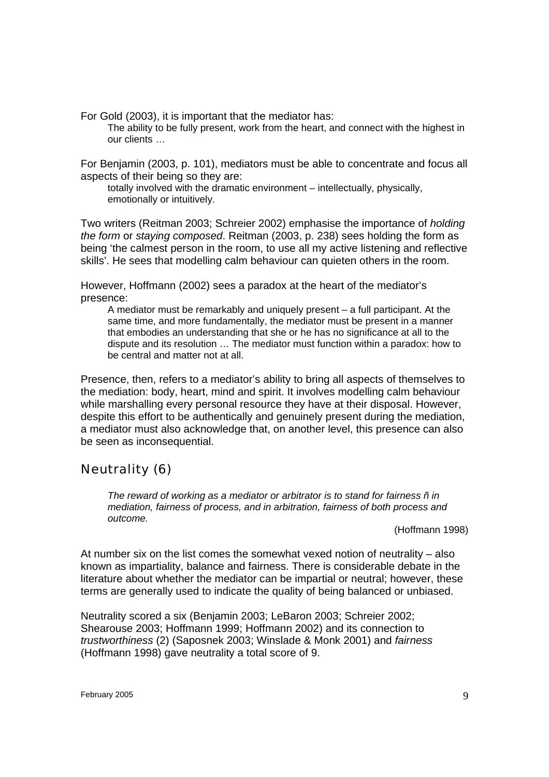For Gold (2003), it is important that the mediator has:

The ability to be fully present, work from the heart, and connect with the highest in our clients …

For Benjamin (2003, p. 101), mediators must be able to concentrate and focus all aspects of their being so they are:

totally involved with the dramatic environment – intellectually, physically, emotionally or intuitively.

Two writers (Reitman 2003; Schreier 2002) emphasise the importance of *holding the form* or *staying composed*. Reitman (2003, p. 238) sees holding the form as being 'the calmest person in the room, to use all my active listening and reflective skills'. He sees that modelling calm behaviour can quieten others in the room.

However, Hoffmann (2002) sees a paradox at the heart of the mediator's presence:

A mediator must be remarkably and uniquely present – a full participant. At the same time, and more fundamentally, the mediator must be present in a manner that embodies an understanding that she or he has no significance at all to the dispute and its resolution … The mediator must function within a paradox: how to be central and matter not at all.

Presence, then, refers to a mediator's ability to bring all aspects of themselves to the mediation: body, heart, mind and spirit. It involves modelling calm behaviour while marshalling every personal resource they have at their disposal. However, despite this effort to be authentically and genuinely present during the mediation, a mediator must also acknowledge that, on another level, this presence can also be seen as inconsequential.

### Neutrality (6)

*The reward of working as a mediator or arbitrator is to stand for fairness ñ in mediation, fairness of process, and in arbitration, fairness of both process and outcome.* 

(Hoffmann 1998)

At number six on the list comes the somewhat vexed notion of neutrality – also known as impartiality, balance and fairness. There is considerable debate in the literature about whether the mediator can be impartial or neutral; however, these terms are generally used to indicate the quality of being balanced or unbiased.

Neutrality scored a six (Benjamin 2003; LeBaron 2003; Schreier 2002; Shearouse 2003; Hoffmann 1999; Hoffmann 2002) and its connection to *trustworthiness* (2) (Saposnek 2003; Winslade & Monk 2001) and *fairness* (Hoffmann 1998) gave neutrality a total score of 9.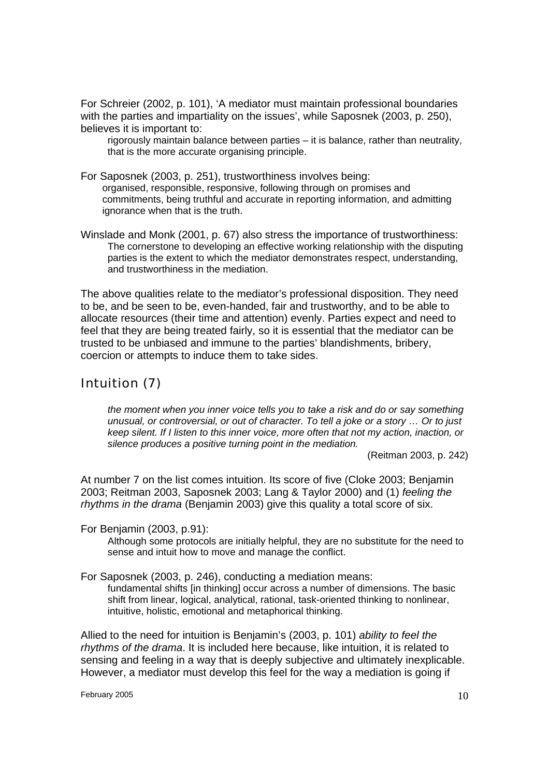For Schreier (2002, p. 101), 'A mediator must maintain professional boundaries with the parties and impartiality on the issues', while Saposnek (2003, p. 250), believes it is important to:

rigorously maintain balance between parties – it is balance, rather than neutrality, that is the more accurate organising principle.

For Saposnek (2003, p. 251), trustworthiness involves being: organised, responsible, responsive, following through on promises and commitments, being truthful and accurate in reporting information, and admitting ignorance when that is the truth.

Winslade and Monk (2001, p. 67) also stress the importance of trustworthiness: The cornerstone to developing an effective working relationship with the disputing parties is the extent to which the mediator demonstrates respect, understanding, and trustworthiness in the mediation.

The above qualities relate to the mediator's professional disposition. They need to be, and be seen to be, even-handed, fair and trustworthy, and to be able to allocate resources (their time and attention) evenly. Parties expect and need to feel that they are being treated fairly, so it is essential that the mediator can be trusted to be unbiased and immune to the parties' blandishments, bribery, coercion or attempts to induce them to take sides.

### Intuition (7)

*the moment when you inner voice tells you to take a risk and do or say something unusual, or controversial, or out of character. To tell a joke or a story … Or to just keep silent. If I listen to this inner voice, more often that not my action, inaction, or silence produces a positive turning point in the mediation.* 

(Reitman 2003, p. 242)

At number 7 on the list comes intuition. Its score of five (Cloke 2003; Benjamin 2003; Reitman 2003, Saposnek 2003; Lang & Taylor 2000) and (1) *feeling the rhythms in the drama* (Benjamin 2003) give this quality a total score of six.

For Benjamin (2003, p.91):

Although some protocols are initially helpful, they are no substitute for the need to sense and intuit how to move and manage the conflict.

For Saposnek (2003, p. 246), conducting a mediation means: fundamental shifts [in thinking] occur across a number of dimensions. The basic

shift from linear, logical, analytical, rational, task-oriented thinking to nonlinear, intuitive, holistic, emotional and metaphorical thinking.

Allied to the need for intuition is Benjamin's (2003, p. 101) *ability to feel the rhythms of the drama*. It is included here because, like intuition, it is related to sensing and feeling in a way that is deeply subjective and ultimately inexplicable. However, a mediator must develop this feel for the way a mediation is going if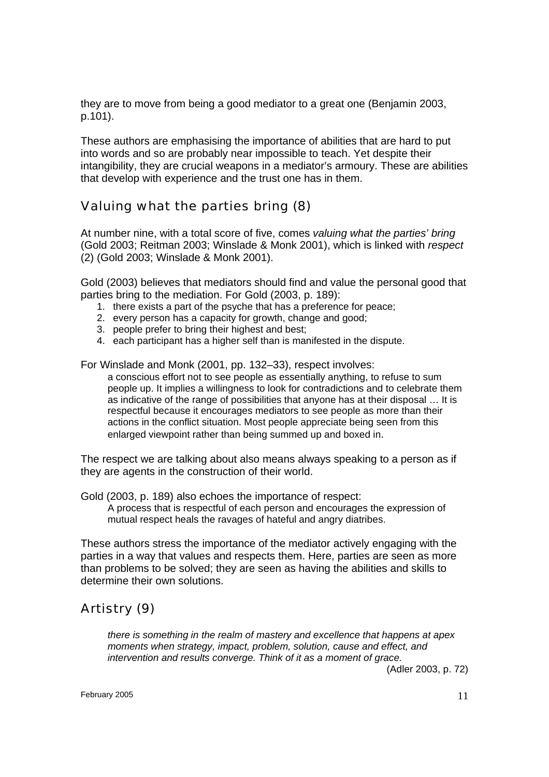they are to move from being a good mediator to a great one (Benjamin 2003, p.101).

These authors are emphasising the importance of abilities that are hard to put into words and so are probably near impossible to teach. Yet despite their intangibility, they are crucial weapons in a mediator's armoury. These are abilities that develop with experience and the trust one has in them.

### Valuing what the parties bring (8)

At number nine, with a total score of five, comes *valuing what the parties' bring* (Gold 2003; Reitman 2003; Winslade & Monk 2001), which is linked with *respect* (2) (Gold 2003; Winslade & Monk 2001).

Gold (2003) believes that mediators should find and value the personal good that parties bring to the mediation. For Gold (2003, p. 189):

- 1. there exists a part of the psyche that has a preference for peace;
- 2. every person has a capacity for growth, change and good;
- 3. people prefer to bring their highest and best;
- 4. each participant has a higher self than is manifested in the dispute.

For Winslade and Monk (2001, pp. 132–33), respect involves:

a conscious effort not to see people as essentially anything, to refuse to sum people up. It implies a willingness to look for contradictions and to celebrate them as indicative of the range of possibilities that anyone has at their disposal … It is respectful because it encourages mediators to see people as more than their actions in the conflict situation. Most people appreciate being seen from this enlarged viewpoint rather than being summed up and boxed in.

The respect we are talking about also means always speaking to a person as if they are agents in the construction of their world.

Gold (2003, p. 189) also echoes the importance of respect: A process that is respectful of each person and encourages the expression of

mutual respect heals the ravages of hateful and angry diatribes.

These authors stress the importance of the mediator actively engaging with the parties in a way that values and respects them. Here, parties are seen as more than problems to be solved; they are seen as having the abilities and skills to determine their own solutions.

## Artistry (9)

*there is something in the realm of mastery and excellence that happens at apex moments when strategy, impact, problem, solution, cause and effect, and intervention and results converge. Think of it as a moment of grace.* 

(Adler 2003, p. 72)

February 2005  $11$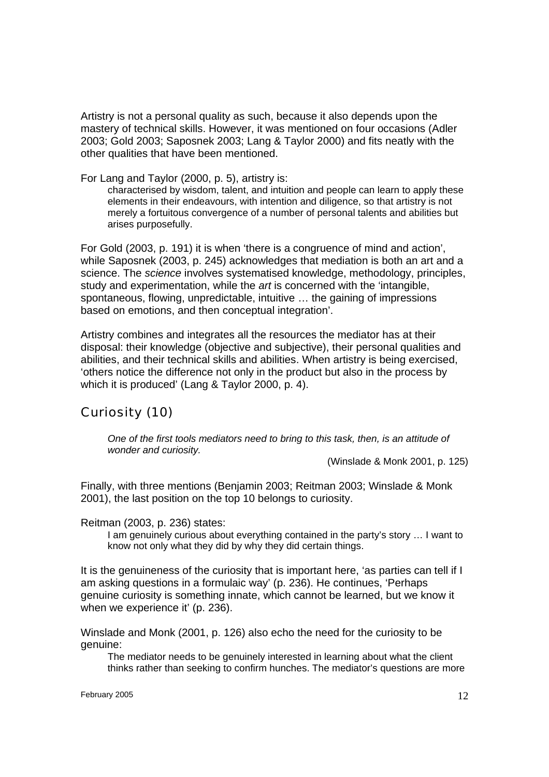Artistry is not a personal quality as such, because it also depends upon the mastery of technical skills. However, it was mentioned on four occasions (Adler 2003; Gold 2003; Saposnek 2003; Lang & Taylor 2000) and fits neatly with the other qualities that have been mentioned.

For Lang and Taylor (2000, p. 5), artistry is:

characterised by wisdom, talent, and intuition and people can learn to apply these elements in their endeavours, with intention and diligence, so that artistry is not merely a fortuitous convergence of a number of personal talents and abilities but arises purposefully.

For Gold (2003, p. 191) it is when 'there is a congruence of mind and action', while Saposnek (2003, p. 245) acknowledges that mediation is both an art and a science. The *science* involves systematised knowledge, methodology, principles, study and experimentation, while the *art* is concerned with the 'intangible, spontaneous, flowing, unpredictable, intuitive … the gaining of impressions based on emotions, and then conceptual integration'.

Artistry combines and integrates all the resources the mediator has at their disposal: their knowledge (objective and subjective), their personal qualities and abilities, and their technical skills and abilities. When artistry is being exercised, 'others notice the difference not only in the product but also in the process by which it is produced' (Lang & Taylor 2000, p. 4).

### Curiosity (10)

*One of the first tools mediators need to bring to this task, then, is an attitude of wonder and curiosity.* 

(Winslade & Monk 2001, p. 125)

Finally, with three mentions (Benjamin 2003; Reitman 2003; Winslade & Monk 2001), the last position on the top 10 belongs to curiosity.

Reitman (2003, p. 236) states:

I am genuinely curious about everything contained in the party's story … I want to know not only what they did by why they did certain things.

It is the genuineness of the curiosity that is important here, 'as parties can tell if I am asking questions in a formulaic way' (p. 236). He continues, 'Perhaps genuine curiosity is something innate, which cannot be learned, but we know it when we experience it' (p. 236).

Winslade and Monk (2001, p. 126) also echo the need for the curiosity to be genuine:

The mediator needs to be genuinely interested in learning about what the client thinks rather than seeking to confirm hunches. The mediator's questions are more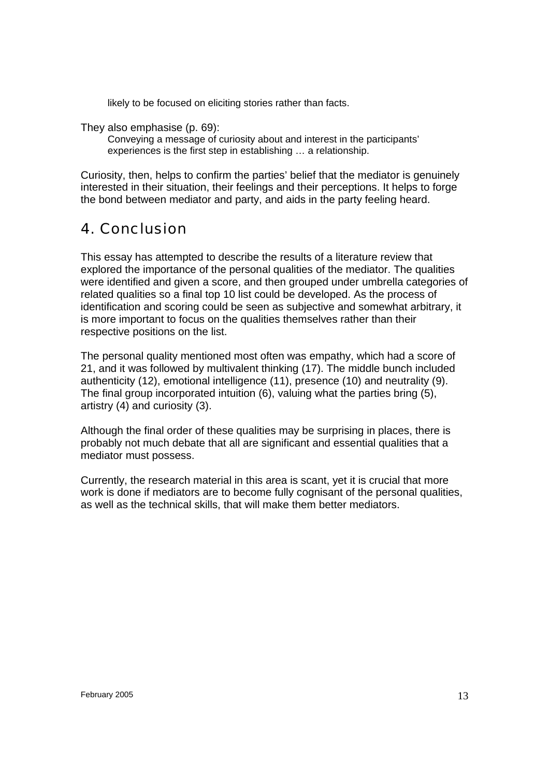likely to be focused on eliciting stories rather than facts.

They also emphasise (p. 69):

Conveying a message of curiosity about and interest in the participants' experiences is the first step in establishing … a relationship.

Curiosity, then, helps to confirm the parties' belief that the mediator is genuinely interested in their situation, their feelings and their perceptions. It helps to forge the bond between mediator and party, and aids in the party feeling heard.

# 4. Conclusion

This essay has attempted to describe the results of a literature review that explored the importance of the personal qualities of the mediator. The qualities were identified and given a score, and then grouped under umbrella categories of related qualities so a final top 10 list could be developed. As the process of identification and scoring could be seen as subjective and somewhat arbitrary, it is more important to focus on the qualities themselves rather than their respective positions on the list.

The personal quality mentioned most often was empathy, which had a score of 21, and it was followed by multivalent thinking (17). The middle bunch included authenticity (12), emotional intelligence (11), presence (10) and neutrality (9). The final group incorporated intuition (6), valuing what the parties bring (5), artistry (4) and curiosity (3).

Although the final order of these qualities may be surprising in places, there is probably not much debate that all are significant and essential qualities that a mediator must possess.

Currently, the research material in this area is scant, yet it is crucial that more work is done if mediators are to become fully cognisant of the personal qualities, as well as the technical skills, that will make them better mediators.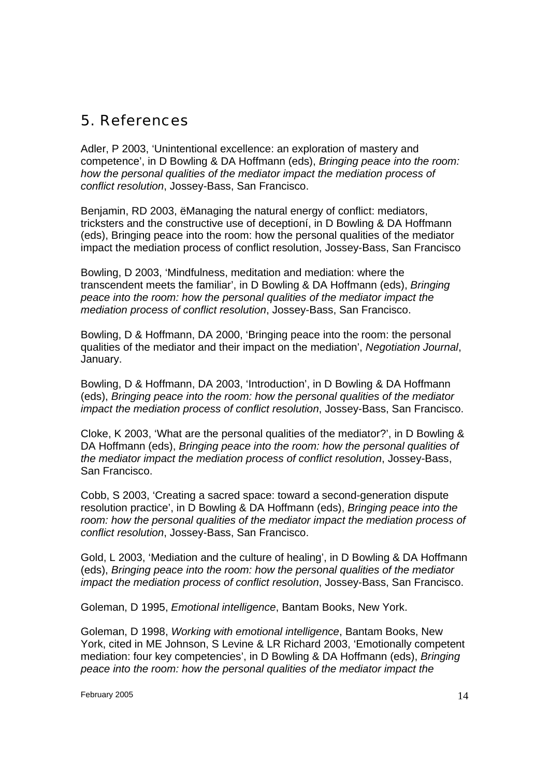# 5. References

Adler, P 2003, 'Unintentional excellence: an exploration of mastery and competence', in D Bowling & DA Hoffmann (eds), *Bringing peace into the room: how the personal qualities of the mediator impact the mediation process of conflict resolution*, Jossey-Bass, San Francisco.

Benjamin, RD 2003, ëManaging the natural energy of conflict: mediators, tricksters and the constructive use of deceptioní, in D Bowling & DA Hoffmann (eds), Bringing peace into the room: how the personal qualities of the mediator impact the mediation process of conflict resolution, Jossey-Bass, San Francisco

Bowling, D 2003, 'Mindfulness, meditation and mediation: where the transcendent meets the familiar', in D Bowling & DA Hoffmann (eds), *Bringing peace into the room: how the personal qualities of the mediator impact the mediation process of conflict resolution*, Jossey-Bass, San Francisco.

Bowling, D & Hoffmann, DA 2000, 'Bringing peace into the room: the personal qualities of the mediator and their impact on the mediation', *Negotiation Journal*, January.

Bowling, D & Hoffmann, DA 2003, 'Introduction', in D Bowling & DA Hoffmann (eds), *Bringing peace into the room: how the personal qualities of the mediator impact the mediation process of conflict resolution*, Jossey-Bass, San Francisco.

Cloke, K 2003, 'What are the personal qualities of the mediator?', in D Bowling & DA Hoffmann (eds), *Bringing peace into the room: how the personal qualities of the mediator impact the mediation process of conflict resolution*, Jossey-Bass, San Francisco.

Cobb, S 2003, 'Creating a sacred space: toward a second-generation dispute resolution practice', in D Bowling & DA Hoffmann (eds), *Bringing peace into the room: how the personal qualities of the mediator impact the mediation process of conflict resolution*, Jossey-Bass, San Francisco.

Gold, L 2003, 'Mediation and the culture of healing', in D Bowling & DA Hoffmann (eds), *Bringing peace into the room: how the personal qualities of the mediator impact the mediation process of conflict resolution*, Jossey-Bass, San Francisco.

Goleman, D 1995, *Emotional intelligence*, Bantam Books, New York.

Goleman, D 1998, *Working with emotional intelligence*, Bantam Books, New York, cited in ME Johnson, S Levine & LR Richard 2003, 'Emotionally competent mediation: four key competencies', in D Bowling & DA Hoffmann (eds), *Bringing peace into the room: how the personal qualities of the mediator impact the*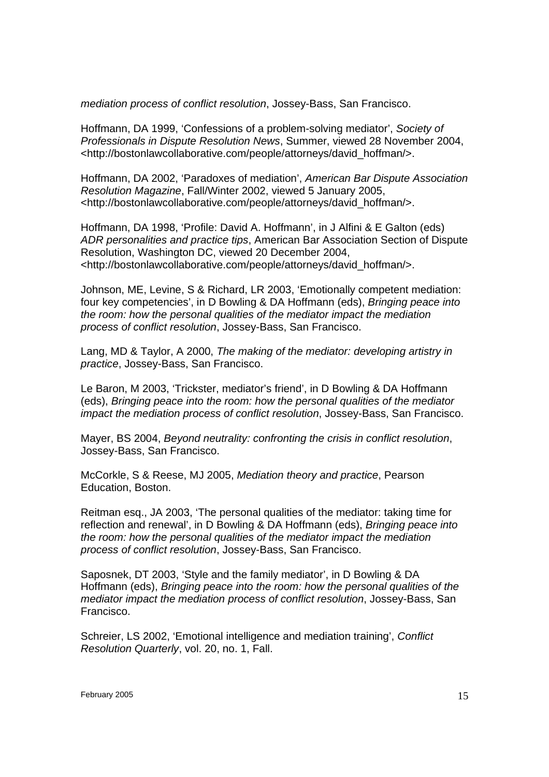*mediation process of conflict resolution*, Jossey-Bass, San Francisco.

Hoffmann, DA 1999, 'Confessions of a problem-solving mediator', *Society of Professionals in Dispute Resolution News*, Summer, viewed 28 November 2004, <http://bostonlawcollaborative.com/people/attorneys/david\_hoffman/>.

Hoffmann, DA 2002, 'Paradoxes of mediation', *American Bar Dispute Association Resolution Magazine*, Fall/Winter 2002, viewed 5 January 2005, <http://bostonlawcollaborative.com/people/attorneys/david\_hoffman/>.

Hoffmann, DA 1998, 'Profile: David A. Hoffmann', in J Alfini & E Galton (eds) *ADR personalities and practice tips*, American Bar Association Section of Dispute Resolution, Washington DC, viewed 20 December 2004, <http://bostonlawcollaborative.com/people/attorneys/david\_hoffman/>.

Johnson, ME, Levine, S & Richard, LR 2003, 'Emotionally competent mediation: four key competencies', in D Bowling & DA Hoffmann (eds), *Bringing peace into the room: how the personal qualities of the mediator impact the mediation process of conflict resolution*, Jossey-Bass, San Francisco.

Lang, MD & Taylor, A 2000, *The making of the mediator: developing artistry in practice*, Jossey-Bass, San Francisco.

Le Baron, M 2003, 'Trickster, mediator's friend', in D Bowling & DA Hoffmann (eds), *Bringing peace into the room: how the personal qualities of the mediator impact the mediation process of conflict resolution*, Jossey-Bass, San Francisco.

Mayer, BS 2004, *Beyond neutrality: confronting the crisis in conflict resolution*, Jossey-Bass, San Francisco.

McCorkle, S & Reese, MJ 2005, *Mediation theory and practice*, Pearson Education, Boston.

Reitman esq., JA 2003, 'The personal qualities of the mediator: taking time for reflection and renewal', in D Bowling & DA Hoffmann (eds), *Bringing peace into the room: how the personal qualities of the mediator impact the mediation process of conflict resolution*, Jossey-Bass, San Francisco.

Saposnek, DT 2003, 'Style and the family mediator', in D Bowling & DA Hoffmann (eds), *Bringing peace into the room: how the personal qualities of the mediator impact the mediation process of conflict resolution*, Jossey-Bass, San Francisco.

Schreier, LS 2002, 'Emotional intelligence and mediation training', *Conflict Resolution Quarterly*, vol. 20, no. 1, Fall.